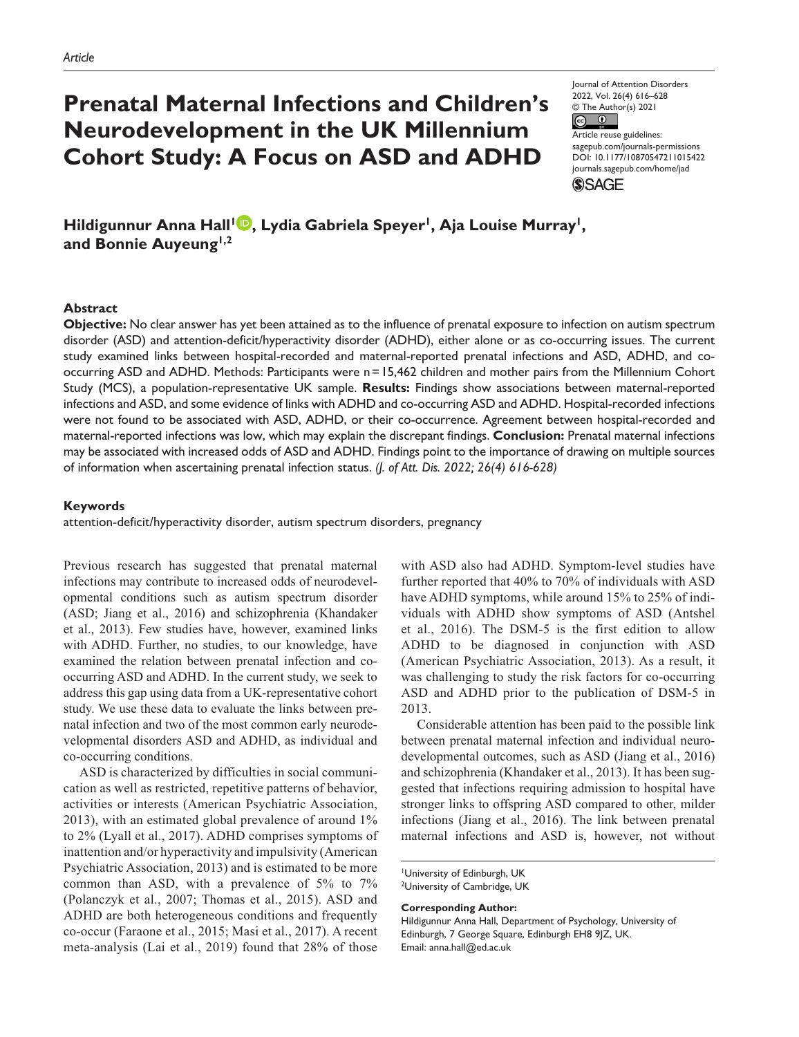# **Prenatal Maternal Infections and Children's Neurodevelopment in the UK Millennium Cohort Study: A Focus on ASD and ADHD**

Journal of Attention Disorders 2022, Vol. 26(4) 616–628 © The Author(s) 2021

 $\circ$   $\circ$ Article reuse guidelines: [sagepub.com/journals-permissions](https://us.sagepub.com/en-us/journals-permissions) https://doi.org/10.1177/10870547211015422 DOI: 10.1177/10870547211015422 [journals.sagepub.com/home/jad](https://journals.sagepub.com/home/jad) **SSAGE** 

Hildigunnur Anna Hall<sup>l D</sup>, Lydia Gabriela Speyer<sup>1</sup>, Aja Louise Murray<sup>1</sup>, **and Bonnie Auyeung1,2**

## **Abstract**

**Objective:** No clear answer has yet been attained as to the influence of prenatal exposure to infection on autism spectrum disorder (ASD) and attention-deficit/hyperactivity disorder (ADHD), either alone or as co-occurring issues. The current study examined links between hospital-recorded and maternal-reported prenatal infections and ASD, ADHD, and cooccurring ASD and ADHD. Methods: Participants were n=15,462 children and mother pairs from the Millennium Cohort Study (MCS), a population-representative UK sample. **Results:** Findings show associations between maternal-reported infections and ASD, and some evidence of links with ADHD and co-occurring ASD and ADHD. Hospital-recorded infections were not found to be associated with ASD, ADHD, or their co-occurrence. Agreement between hospital-recorded and maternal-reported infections was low, which may explain the discrepant findings. **Conclusion:** Prenatal maternal infections may be associated with increased odds of ASD and ADHD. Findings point to the importance of drawing on multiple sources of information when ascertaining prenatal infection status. *(J. of Att. Dis. 2022; 26(4) 616-628)*

#### **Keywords**

attention-deficit/hyperactivity disorder, autism spectrum disorders, pregnancy

Previous research has suggested that prenatal maternal infections may contribute to increased odds of neurodevelopmental conditions such as autism spectrum disorder (ASD; Jiang et al., 2016) and schizophrenia (Khandaker et al., 2013). Few studies have, however, examined links with ADHD. Further, no studies, to our knowledge, have examined the relation between prenatal infection and cooccurring ASD and ADHD. In the current study, we seek to address this gap using data from a UK-representative cohort study. We use these data to evaluate the links between prenatal infection and two of the most common early neurodevelopmental disorders ASD and ADHD, as individual and co-occurring conditions.

ASD is characterized by difficulties in social communication as well as restricted, repetitive patterns of behavior, activities or interests (American Psychiatric Association, 2013), with an estimated global prevalence of around 1% to 2% (Lyall et al., 2017). ADHD comprises symptoms of inattention and/or hyperactivity and impulsivity (American Psychiatric Association, 2013) and is estimated to be more common than ASD, with a prevalence of 5% to 7% (Polanczyk et al., 2007; Thomas et al., 2015). ASD and ADHD are both heterogeneous conditions and frequently co-occur (Faraone et al., 2015; Masi et al., 2017). A recent meta-analysis (Lai et al., 2019) found that 28% of those

with ASD also had ADHD. Symptom-level studies have further reported that 40% to 70% of individuals with ASD have ADHD symptoms, while around 15% to 25% of individuals with ADHD show symptoms of ASD (Antshel et al., 2016). The DSM-5 is the first edition to allow ADHD to be diagnosed in conjunction with ASD (American Psychiatric Association, 2013). As a result, it was challenging to study the risk factors for co-occurring ASD and ADHD prior to the publication of DSM-5 in 2013.

Considerable attention has been paid to the possible link between prenatal maternal infection and individual neurodevelopmental outcomes, such as ASD (Jiang et al., 2016) and schizophrenia (Khandaker et al., 2013). It has been suggested that infections requiring admission to hospital have stronger links to offspring ASD compared to other, milder infections (Jiang et al., 2016). The link between prenatal maternal infections and ASD is, however, not without

University of Edinburgh, UK <sup>2</sup>University of Cambridge, UK

**Corresponding Author:**

Hildigunnur Anna Hall, Department of Psychology, University of Edinburgh, 7 George Square, Edinburgh EH8 9JZ, UK. Email: [anna.hall@ed.ac.uk](mailto:anna.hall@ed.ac.uk)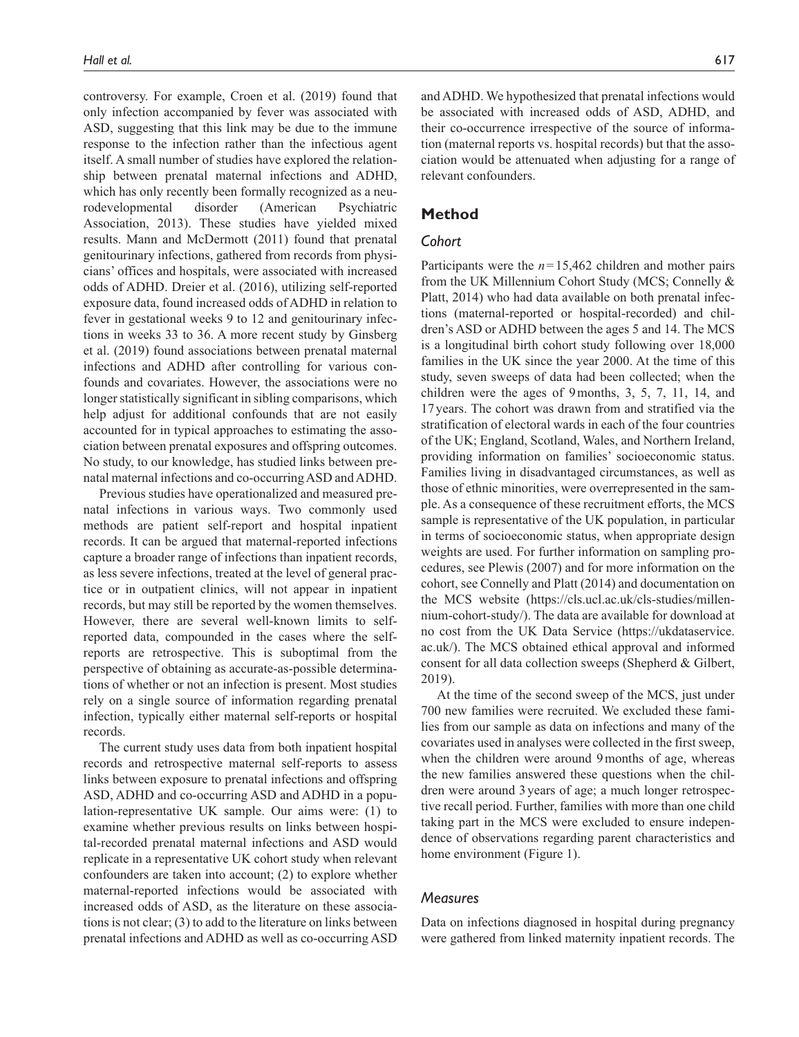controversy. For example, Croen et al. (2019) found that only infection accompanied by fever was associated with ASD, suggesting that this link may be due to the immune response to the infection rather than the infectious agent itself. A small number of studies have explored the relationship between prenatal maternal infections and ADHD, which has only recently been formally recognized as a neurodevelopmental disorder (American Psychiatric Association, 2013). These studies have yielded mixed results. Mann and McDermott (2011) found that prenatal genitourinary infections, gathered from records from physicians' offices and hospitals, were associated with increased odds of ADHD. Dreier et al. (2016), utilizing self-reported exposure data, found increased odds of ADHD in relation to fever in gestational weeks 9 to 12 and genitourinary infections in weeks 33 to 36. A more recent study by Ginsberg et al. (2019) found associations between prenatal maternal infections and ADHD after controlling for various confounds and covariates. However, the associations were no longer statistically significant in sibling comparisons, which help adjust for additional confounds that are not easily accounted for in typical approaches to estimating the association between prenatal exposures and offspring outcomes. No study, to our knowledge, has studied links between prenatal maternal infections and co-occurring ASD and ADHD.

Previous studies have operationalized and measured prenatal infections in various ways. Two commonly used methods are patient self-report and hospital inpatient records. It can be argued that maternal-reported infections capture a broader range of infections than inpatient records, as less severe infections, treated at the level of general practice or in outpatient clinics, will not appear in inpatient records, but may still be reported by the women themselves. However, there are several well-known limits to selfreported data, compounded in the cases where the selfreports are retrospective. This is suboptimal from the perspective of obtaining as accurate-as-possible determinations of whether or not an infection is present. Most studies rely on a single source of information regarding prenatal infection, typically either maternal self-reports or hospital records.

The current study uses data from both inpatient hospital records and retrospective maternal self-reports to assess links between exposure to prenatal infections and offspring ASD, ADHD and co-occurring ASD and ADHD in a population-representative UK sample. Our aims were: (1) to examine whether previous results on links between hospital-recorded prenatal maternal infections and ASD would replicate in a representative UK cohort study when relevant confounders are taken into account; (2) to explore whether maternal-reported infections would be associated with increased odds of ASD, as the literature on these associations is not clear; (3) to add to the literature on links between prenatal infections and ADHD as well as co-occurring ASD

and ADHD. We hypothesized that prenatal infections would be associated with increased odds of ASD, ADHD, and their co-occurrence irrespective of the source of information (maternal reports vs. hospital records) but that the association would be attenuated when adjusting for a range of relevant confounders.

## **Method**

## *Cohort*

Participants were the *n*=15,462 children and mother pairs from the UK Millennium Cohort Study (MCS; Connelly & Platt, 2014) who had data available on both prenatal infections (maternal-reported or hospital-recorded) and children's ASD or ADHD between the ages 5 and 14. The MCS is a longitudinal birth cohort study following over 18,000 families in the UK since the year 2000. At the time of this study, seven sweeps of data had been collected; when the children were the ages of 9months, 3, 5, 7, 11, 14, and 17years. The cohort was drawn from and stratified via the stratification of electoral wards in each of the four countries of the UK; England, Scotland, Wales, and Northern Ireland, providing information on families' socioeconomic status. Families living in disadvantaged circumstances, as well as those of ethnic minorities, were overrepresented in the sample. As a consequence of these recruitment efforts, the MCS sample is representative of the UK population, in particular in terms of socioeconomic status, when appropriate design weights are used. For further information on sampling procedures, see Plewis (2007) and for more information on the cohort, see Connelly and Platt (2014) and documentation on the MCS website ([https://cls.ucl.ac.uk/cls-studies/millen](https://cls.ucl.ac.uk/cls-studies/millennium-cohort-study/)[nium-cohort-study/](https://cls.ucl.ac.uk/cls-studies/millennium-cohort-study/)). The data are available for download at no cost from the UK Data Service ([https://ukdataservice.](https://ukdataservice.ac.uk/) [ac.uk/](https://ukdataservice.ac.uk/)). The MCS obtained ethical approval and informed consent for all data collection sweeps (Shepherd & Gilbert, 2019).

At the time of the second sweep of the MCS, just under 700 new families were recruited. We excluded these families from our sample as data on infections and many of the covariates used in analyses were collected in the first sweep, when the children were around 9months of age, whereas the new families answered these questions when the children were around 3years of age; a much longer retrospective recall period. Further, families with more than one child taking part in the MCS were excluded to ensure independence of observations regarding parent characteristics and home environment (Figure 1).

## *Measures*

Data on infections diagnosed in hospital during pregnancy were gathered from linked maternity inpatient records. The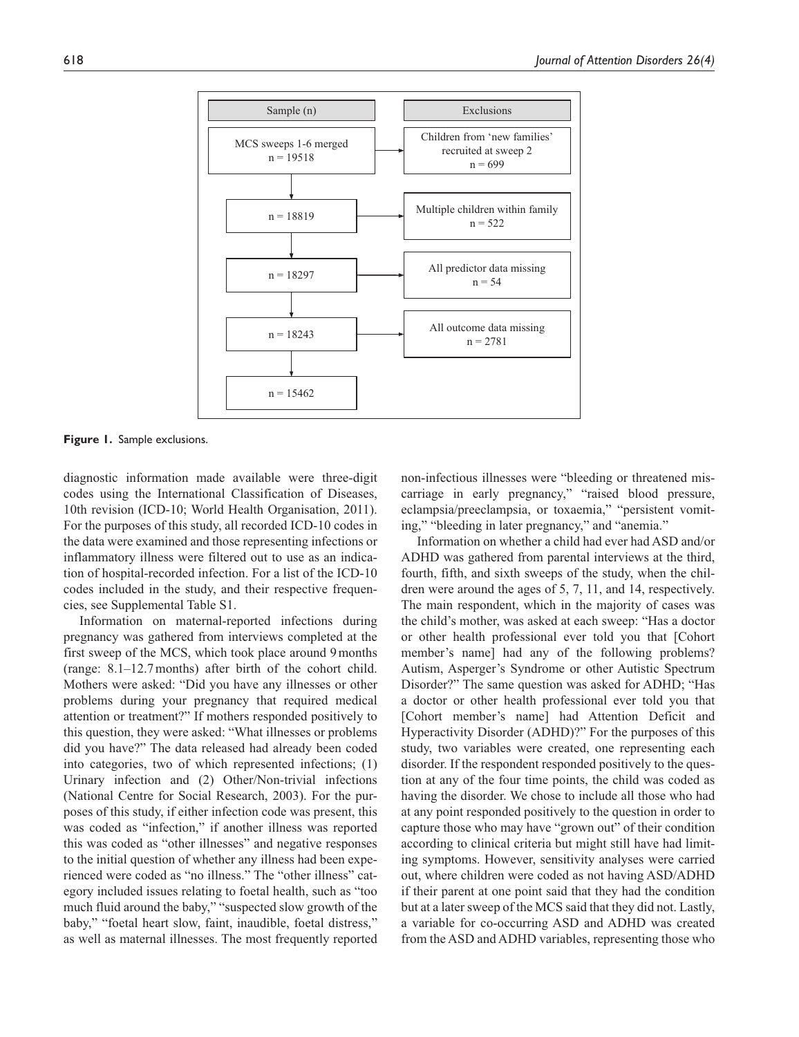

**Figure 1.** Sample exclusions.

diagnostic information made available were three-digit codes using the International Classification of Diseases, 10th revision (ICD-10; World Health Organisation, 2011). For the purposes of this study, all recorded ICD-10 codes in the data were examined and those representing infections or inflammatory illness were filtered out to use as an indication of hospital-recorded infection. For a list of the ICD-10 codes included in the study, and their respective frequencies, see Supplemental Table S1.

Information on maternal-reported infections during pregnancy was gathered from interviews completed at the first sweep of the MCS, which took place around 9months (range: 8.1–12.7months) after birth of the cohort child. Mothers were asked: "Did you have any illnesses or other problems during your pregnancy that required medical attention or treatment?" If mothers responded positively to this question, they were asked: "What illnesses or problems did you have?" The data released had already been coded into categories, two of which represented infections; (1) Urinary infection and (2) Other/Non-trivial infections (National Centre for Social Research, 2003). For the purposes of this study, if either infection code was present, this was coded as "infection," if another illness was reported this was coded as "other illnesses" and negative responses to the initial question of whether any illness had been experienced were coded as "no illness." The "other illness" category included issues relating to foetal health, such as "too much fluid around the baby," "suspected slow growth of the baby," "foetal heart slow, faint, inaudible, foetal distress," as well as maternal illnesses. The most frequently reported

non-infectious illnesses were "bleeding or threatened miscarriage in early pregnancy," "raised blood pressure, eclampsia/preeclampsia, or toxaemia," "persistent vomiting," "bleeding in later pregnancy," and "anemia."

Information on whether a child had ever had ASD and/or ADHD was gathered from parental interviews at the third, fourth, fifth, and sixth sweeps of the study, when the children were around the ages of 5, 7, 11, and 14, respectively. The main respondent, which in the majority of cases was the child's mother, was asked at each sweep: "Has a doctor or other health professional ever told you that [Cohort member's name] had any of the following problems? Autism, Asperger's Syndrome or other Autistic Spectrum Disorder?" The same question was asked for ADHD; "Has a doctor or other health professional ever told you that [Cohort member's name] had Attention Deficit and Hyperactivity Disorder (ADHD)?" For the purposes of this study, two variables were created, one representing each disorder. If the respondent responded positively to the question at any of the four time points, the child was coded as having the disorder. We chose to include all those who had at any point responded positively to the question in order to capture those who may have "grown out" of their condition according to clinical criteria but might still have had limiting symptoms. However, sensitivity analyses were carried out, where children were coded as not having ASD/ADHD if their parent at one point said that they had the condition but at a later sweep of the MCS said that they did not. Lastly, a variable for co-occurring ASD and ADHD was created from the ASD and ADHD variables, representing those who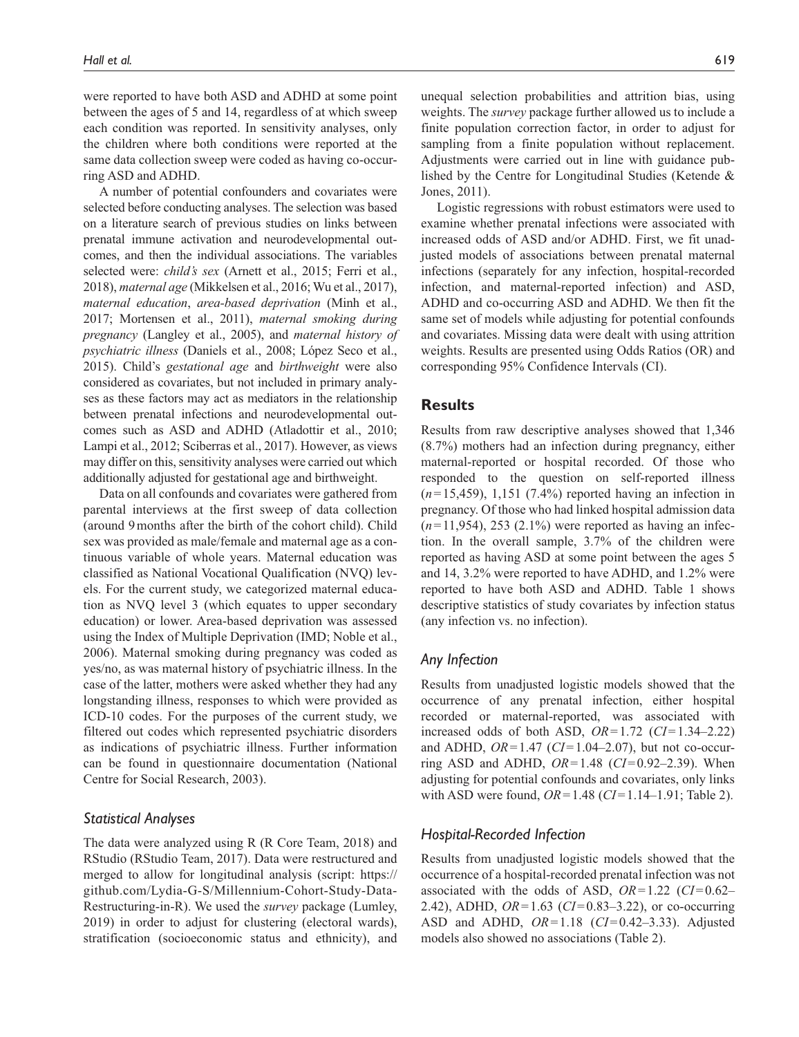were reported to have both ASD and ADHD at some point between the ages of 5 and 14, regardless of at which sweep each condition was reported. In sensitivity analyses, only the children where both conditions were reported at the same data collection sweep were coded as having co-occurring ASD and ADHD.

A number of potential confounders and covariates were selected before conducting analyses. The selection was based on a literature search of previous studies on links between prenatal immune activation and neurodevelopmental outcomes, and then the individual associations. The variables selected were: *child's sex* (Arnett et al., 2015; Ferri et al., 2018), *maternal age* (Mikkelsen et al., 2016; Wu et al., 2017), *maternal education*, *area-based deprivation* (Minh et al., 2017; Mortensen et al., 2011), *maternal smoking during pregnancy* (Langley et al., 2005), and *maternal history of psychiatric illness* (Daniels et al., 2008; López Seco et al., 2015). Child's *gestational age* and *birthweight* were also considered as covariates, but not included in primary analyses as these factors may act as mediators in the relationship between prenatal infections and neurodevelopmental outcomes such as ASD and ADHD (Atladottir et al., 2010; Lampi et al., 2012; Sciberras et al., 2017). However, as views may differ on this, sensitivity analyses were carried out which additionally adjusted for gestational age and birthweight.

Data on all confounds and covariates were gathered from parental interviews at the first sweep of data collection (around 9months after the birth of the cohort child). Child sex was provided as male/female and maternal age as a continuous variable of whole years. Maternal education was classified as National Vocational Qualification (NVQ) levels. For the current study, we categorized maternal education as NVQ level 3 (which equates to upper secondary education) or lower. Area-based deprivation was assessed using the Index of Multiple Deprivation (IMD; Noble et al., 2006). Maternal smoking during pregnancy was coded as yes/no, as was maternal history of psychiatric illness. In the case of the latter, mothers were asked whether they had any longstanding illness, responses to which were provided as ICD-10 codes. For the purposes of the current study, we filtered out codes which represented psychiatric disorders as indications of psychiatric illness. Further information can be found in questionnaire documentation (National Centre for Social Research, 2003).

## *Statistical Analyses*

The data were analyzed using R (R Core Team, 2018) and RStudio (RStudio Team, 2017). Data were restructured and merged to allow for longitudinal analysis (script: [https://](https://github.com/Lydia-G-S/Millennium-Cohort-Study-Data-Restructuring-in-R) [github.com/Lydia-G-S/Millennium-Cohort-Study-Data-](https://github.com/Lydia-G-S/Millennium-Cohort-Study-Data-Restructuring-in-R)[Restructuring-in-R\)](https://github.com/Lydia-G-S/Millennium-Cohort-Study-Data-Restructuring-in-R). We used the *survey* package (Lumley, 2019) in order to adjust for clustering (electoral wards), stratification (socioeconomic status and ethnicity), and

unequal selection probabilities and attrition bias, using weights. The *survey* package further allowed us to include a finite population correction factor, in order to adjust for sampling from a finite population without replacement. Adjustments were carried out in line with guidance published by the Centre for Longitudinal Studies (Ketende & Jones, 2011).

Logistic regressions with robust estimators were used to examine whether prenatal infections were associated with increased odds of ASD and/or ADHD. First, we fit unadjusted models of associations between prenatal maternal infections (separately for any infection, hospital-recorded infection, and maternal-reported infection) and ASD, ADHD and co-occurring ASD and ADHD. We then fit the same set of models while adjusting for potential confounds and covariates. Missing data were dealt with using attrition weights. Results are presented using Odds Ratios (OR) and corresponding 95% Confidence Intervals (CI).

## **Results**

Results from raw descriptive analyses showed that 1,346 (8.7%) mothers had an infection during pregnancy, either maternal-reported or hospital recorded. Of those who responded to the question on self-reported illness (*n*=15,459), 1,151 (7.4%) reported having an infection in pregnancy. Of those who had linked hospital admission data (*n*=11,954), 253 (2.1%) were reported as having an infection. In the overall sample, 3.7% of the children were reported as having ASD at some point between the ages 5 and 14, 3.2% were reported to have ADHD, and 1.2% were reported to have both ASD and ADHD. Table 1 shows descriptive statistics of study covariates by infection status (any infection vs. no infection).

## *Any Infection*

Results from unadjusted logistic models showed that the occurrence of any prenatal infection, either hospital recorded or maternal-reported, was associated with increased odds of both ASD, *OR*=1.72 (*CI*=1.34–2.22) and ADHD, *OR*=1.47 (*CI*=1.04–2.07), but not co-occurring ASD and ADHD, *OR*=1.48 (*CI*=0.92–2.39). When adjusting for potential confounds and covariates, only links with ASD were found, *OR*=1.48 (*CI*=1.14–1.91; Table 2).

## *Hospital-Recorded Infection*

Results from unadjusted logistic models showed that the occurrence of a hospital-recorded prenatal infection was not associated with the odds of ASD, *OR*=1.22 (*CI*=0.62– 2.42), ADHD, *OR*=1.63 (*CI*=0.83–3.22), or co-occurring ASD and ADHD, *OR*=1.18 (*CI*=0.42–3.33). Adjusted models also showed no associations (Table 2).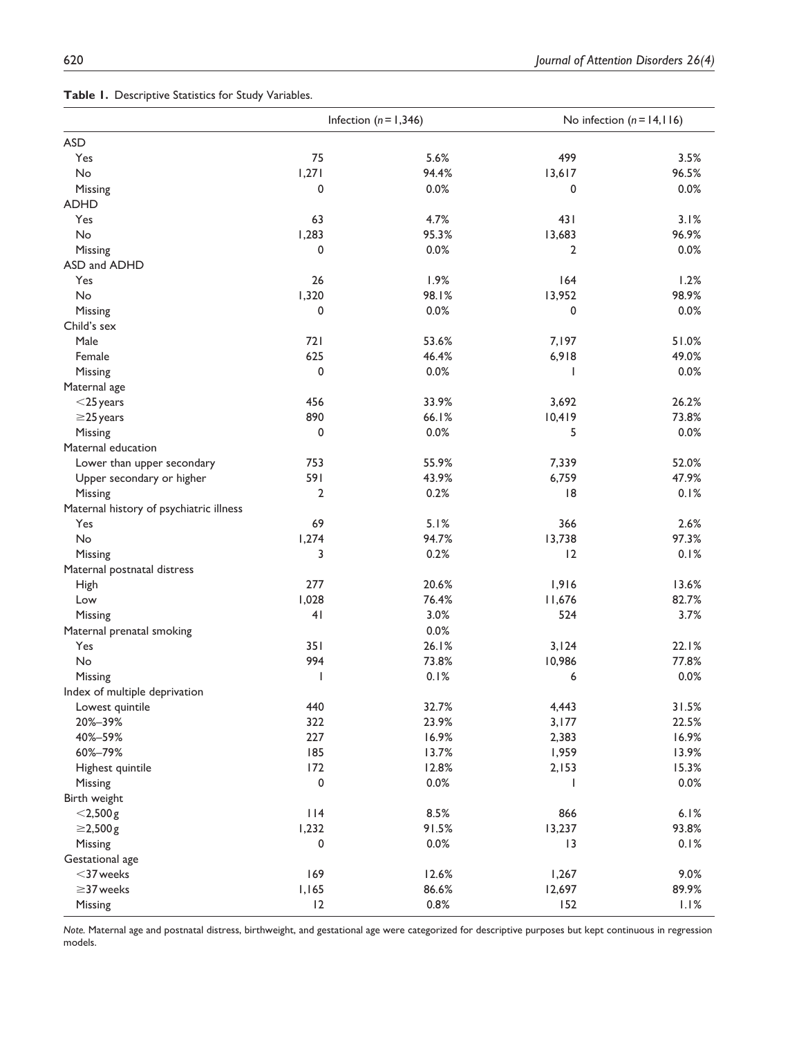|  | Table I. Descriptive Statistics for Study Variables. |  |  |  |
|--|------------------------------------------------------|--|--|--|
|--|------------------------------------------------------|--|--|--|

|                                         |                | Infection ( $n = 1,346$ ) | No infection $(n = 14, 116)$ |       |
|-----------------------------------------|----------------|---------------------------|------------------------------|-------|
| <b>ASD</b>                              |                |                           |                              |       |
| Yes                                     | 75             | 5.6%                      | 499                          | 3.5%  |
| No                                      | 1,271          | 94.4%                     | 13,617                       | 96.5% |
| Missing                                 | 0              | 0.0%                      | 0                            | 0.0%  |
| <b>ADHD</b>                             |                |                           |                              |       |
| Yes                                     | 63             | 4.7%                      | 431                          | 3.1%  |
| No                                      | 1,283          | 95.3%                     | 13,683                       | 96.9% |
| Missing                                 | 0              | 0.0%                      | 2                            | 0.0%  |
| ASD and ADHD                            |                |                           |                              |       |
| Yes                                     | 26             | 1.9%                      | 164                          | 1.2%  |
| No                                      | 1,320          | 98.1%                     | 13,952                       | 98.9% |
| Missing                                 | 0              | 0.0%                      | 0                            | 0.0%  |
| Child's sex                             |                |                           |                              |       |
| Male                                    | 721            | 53.6%                     | 7,197                        | 51.0% |
| Female                                  | 625            | 46.4%                     | 6,918                        | 49.0% |
| Missing                                 | 0              | 0.0%                      | ı                            | 0.0%  |
| Maternal age                            |                |                           |                              |       |
| $<$ 25 years                            | 456            | 33.9%                     | 3,692                        | 26.2% |
| $\geq$ 25 years                         | 890            | 66.1%                     | 10,419                       | 73.8% |
| Missing                                 | 0              | 0.0%                      | 5                            | 0.0%  |
| Maternal education                      |                |                           |                              |       |
| Lower than upper secondary              | 753            | 55.9%                     | 7,339                        | 52.0% |
| Upper secondary or higher               | 591            | 43.9%                     | 6,759                        | 47.9% |
| Missing                                 | $\overline{2}$ | 0.2%                      | 8                            | 0.1%  |
| Maternal history of psychiatric illness |                |                           |                              |       |
| Yes                                     | 69             | 5.1%                      | 366                          | 2.6%  |
| No                                      | 1,274          | 94.7%                     | 13,738                       | 97.3% |
|                                         | 3              | 0.2%                      | 12                           | 0.1%  |
| Missing                                 |                |                           |                              |       |
| Maternal postnatal distress             |                |                           |                              |       |
| <b>High</b>                             | 277            | 20.6%                     | 1,916                        | 13.6% |
| Low                                     | 1,028          | 76.4%                     | 11,676                       | 82.7% |
| Missing                                 | 41             | 3.0%                      | 524                          | 3.7%  |
| Maternal prenatal smoking               |                | 0.0%                      |                              |       |
| Yes                                     | 351            | 26.1%                     | 3,124                        | 22.1% |
| No                                      | 994            | 73.8%                     | 10,986                       | 77.8% |
| Missing                                 | J              | 0.1%                      | 6                            | 0.0%  |
| Index of multiple deprivation           |                |                           |                              |       |
| Lowest quintile                         | 440            | 32.7%                     | 4,443                        | 31.5% |
| 20%-39%                                 | 322            | 23.9%                     | 3,177                        | 22.5% |
| 40%-59%                                 | 227            | 16.9%                     | 2,383                        | 16.9% |
| 60%-79%                                 | 185            | 13.7%                     | 1,959                        | 13.9% |
| Highest quintile                        | 172            | 12.8%                     | 2,153                        | 15.3% |
| Missing                                 | 0              | 0.0%                      | H                            | 0.0%  |
| Birth weight                            |                |                           |                              |       |
| $<$ 2,500 $g$                           | 114            | 8.5%                      | 866                          | 6.1%  |
| $\geq$ 2,500 g                          | 1,232          | 91.5%                     | 13,237                       | 93.8% |
| Missing                                 | $\pmb{0}$      | 0.0%                      | 3                            | 0.1%  |
| Gestational age                         |                |                           |                              |       |
| $<$ 37 weeks                            | 169            | 12.6%                     | 1,267                        | 9.0%  |
| $\geq$ 37 weeks                         | 1,165          | 86.6%                     | 12,697                       | 89.9% |
| Missing                                 | 12             | 0.8%                      | 152                          | 1.1%  |

*Note.* Maternal age and postnatal distress, birthweight, and gestational age were categorized for descriptive purposes but kept continuous in regression models.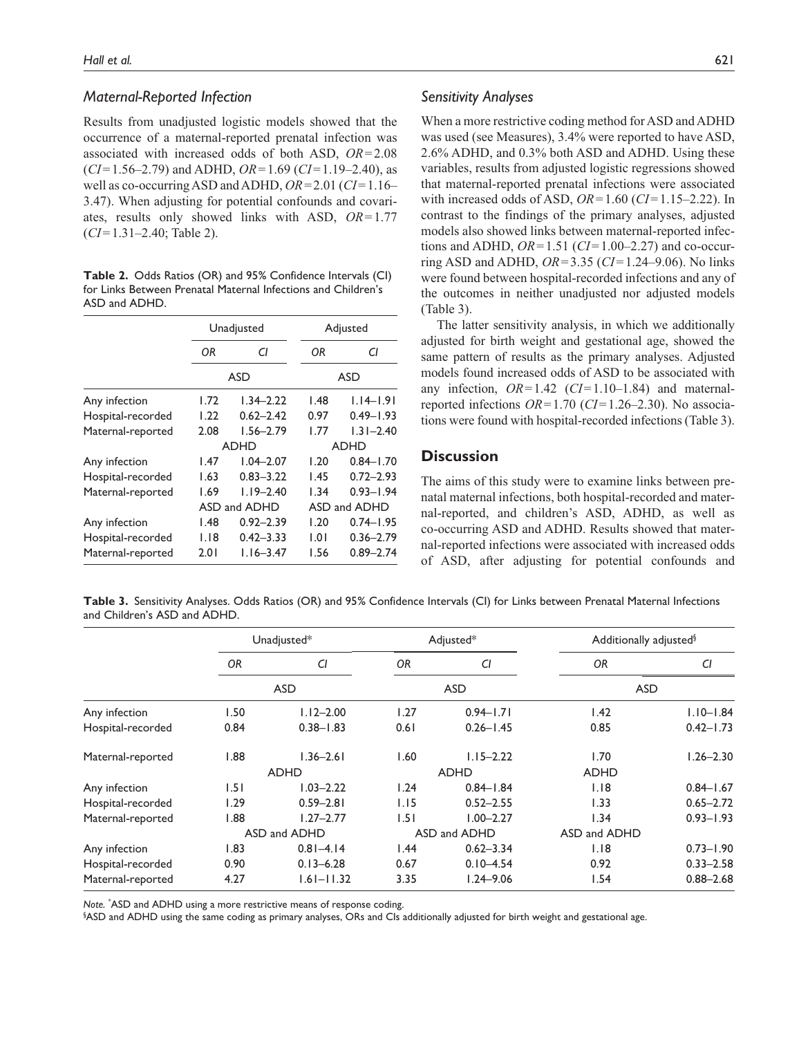## *Maternal-Reported Infection*

Results from unadjusted logistic models showed that the occurrence of a maternal-reported prenatal infection was associated with increased odds of both ASD, *OR*=2.08 (*CI*=1.56–2.79) and ADHD, *OR*=1.69 (*CI*=1.19–2.40), as well as co-occurring ASD and ADHD, *OR*=2.01 (*CI*=1.16– 3.47). When adjusting for potential confounds and covariates, results only showed links with ASD, *OR*=1.77 (*CI*=1.31–2.40; Table 2).

**Table 2.** Odds Ratios (OR) and 95% Confidence Intervals (CI) for Links Between Prenatal Maternal Infections and Children's ASD and ADHD.

|                   |      | Unadjusted    |              | Adjusted      |  |
|-------------------|------|---------------|--------------|---------------|--|
|                   | ΟR   | СI            | ΟR           | CI            |  |
|                   |      | <b>ASD</b>    |              | <b>ASD</b>    |  |
| Any infection     | 1.72 | $1.34 - 2.22$ | 1.48         | $1.14 - 1.91$ |  |
| Hospital-recorded | 1.22 | $0.62 - 2.42$ | 0.97         | $0.49 - 1.93$ |  |
| Maternal-reported | 2.08 | $1.56 - 2.79$ | 1.77         | $1.31 - 2.40$ |  |
|                   |      | <b>ADHD</b>   | <b>ADHD</b>  |               |  |
| Any infection     | l.47 | $1.04 - 2.07$ | 1.20         | $0.84 - 1.70$ |  |
| Hospital-recorded | 1.63 | $0.83 - 3.22$ | 1.45         | $0.72 - 2.93$ |  |
| Maternal-reported | 1.69 | $1.19 - 2.40$ | 1.34         | $0.93 - 1.94$ |  |
|                   |      | ASD and ADHD  | ASD and ADHD |               |  |
| Any infection     | 1.48 | $0.92 - 2.39$ | 1.20         | $0.74 - 1.95$ |  |
| Hospital-recorded | 1.18 | $0.42 - 3.33$ | 1.01         | $0.36 - 2.79$ |  |
| Maternal-reported | 2.01 | $1.16 - 3.47$ | 1.56         | $0.89 - 2.74$ |  |

#### *Sensitivity Analyses*

When a more restrictive coding method for ASD and ADHD was used (see Measures), 3.4% were reported to have ASD, 2.6% ADHD, and 0.3% both ASD and ADHD. Using these variables, results from adjusted logistic regressions showed that maternal-reported prenatal infections were associated with increased odds of ASD, *OR*=1.60 (*CI*=1.15–2.22). In contrast to the findings of the primary analyses, adjusted models also showed links between maternal-reported infections and ADHD, *OR*=1.51 (*CI*=1.00–2.27) and co-occurring ASD and ADHD, *OR*=3.35 (*CI*=1.24–9.06). No links were found between hospital-recorded infections and any of the outcomes in neither unadjusted nor adjusted models (Table 3).

The latter sensitivity analysis, in which we additionally adjusted for birth weight and gestational age, showed the same pattern of results as the primary analyses. Adjusted models found increased odds of ASD to be associated with any infection, *OR*=1.42 (*CI*=1.10–1.84) and maternalreported infections *OR*=1.70 (*CI*=1.26–2.30). No associations were found with hospital-recorded infections (Table 3).

## **Discussion**

The aims of this study were to examine links between prenatal maternal infections, both hospital-recorded and maternal-reported, and children's ASD, ADHD, as well as co-occurring ASD and ADHD. Results showed that maternal-reported infections were associated with increased odds of ASD, after adjusting for potential confounds and

**Table 3.** Sensitivity Analyses. Odds Ratios (OR) and 95% Confidence Intervals (CI) for Links between Prenatal Maternal Infections and Children's ASD and ADHD.

|                   | Unadjusted*  |                | Adjusted*  |               | Additionally adjusted <sup>§</sup> |               |
|-------------------|--------------|----------------|------------|---------------|------------------------------------|---------------|
|                   | 0R           | CI             | <b>OR</b>  | CI            | <b>OR</b>                          | CI            |
|                   | <b>ASD</b>   |                | <b>ASD</b> |               | <b>ASD</b>                         |               |
| Any infection     | 1.50         | $1.12 - 2.00$  | 1.27       | $0.94 - 1.71$ | 1.42                               | $1.10 - 1.84$ |
| Hospital-recorded | 0.84         | $0.38 - 1.83$  | 0.61       | $0.26 - 1.45$ | 0.85                               | $0.42 - 1.73$ |
| Maternal-reported | 1.88         | $1.36 - 2.61$  | 1.60       | $1.15 - 2.22$ | 1.70                               | $1.26 - 2.30$ |
|                   |              | <b>ADHD</b>    |            | <b>ADHD</b>   | <b>ADHD</b>                        |               |
| Any infection     | 1.51         | $1.03 - 2.22$  | 1.24       | $0.84 - 1.84$ | 1.18                               | $0.84 - 1.67$ |
| Hospital-recorded | 1.29         | $0.59 - 2.81$  | 1.15       | $0.52 - 2.55$ | 1.33                               | $0.65 - 2.72$ |
| Maternal-reported | 88.1         | $1.27 - 2.77$  | 1.51       | $1.00 - 2.27$ | 1.34                               | $0.93 - 1.93$ |
|                   | ASD and ADHD |                |            | ASD and ADHD  | ASD and ADHD                       |               |
| Any infection     | 1.83         | $0.81 - 4.14$  | 1.44       | $0.62 - 3.34$ | 1.18                               | $0.73 - 1.90$ |
| Hospital-recorded | 0.90         | $0.13 - 6.28$  | 0.67       | $0.10 - 4.54$ | 0.92                               | $0.33 - 2.58$ |
| Maternal-reported | 4.27         | $1.61 - 11.32$ | 3.35       | $1.24 - 9.06$ | 1.54                               | $0.88 - 2.68$ |

*Note.* \* ASD and ADHD using a more restrictive means of response coding.

§ ASD and ADHD using the same coding as primary analyses, ORs and CIs additionally adjusted for birth weight and gestational age.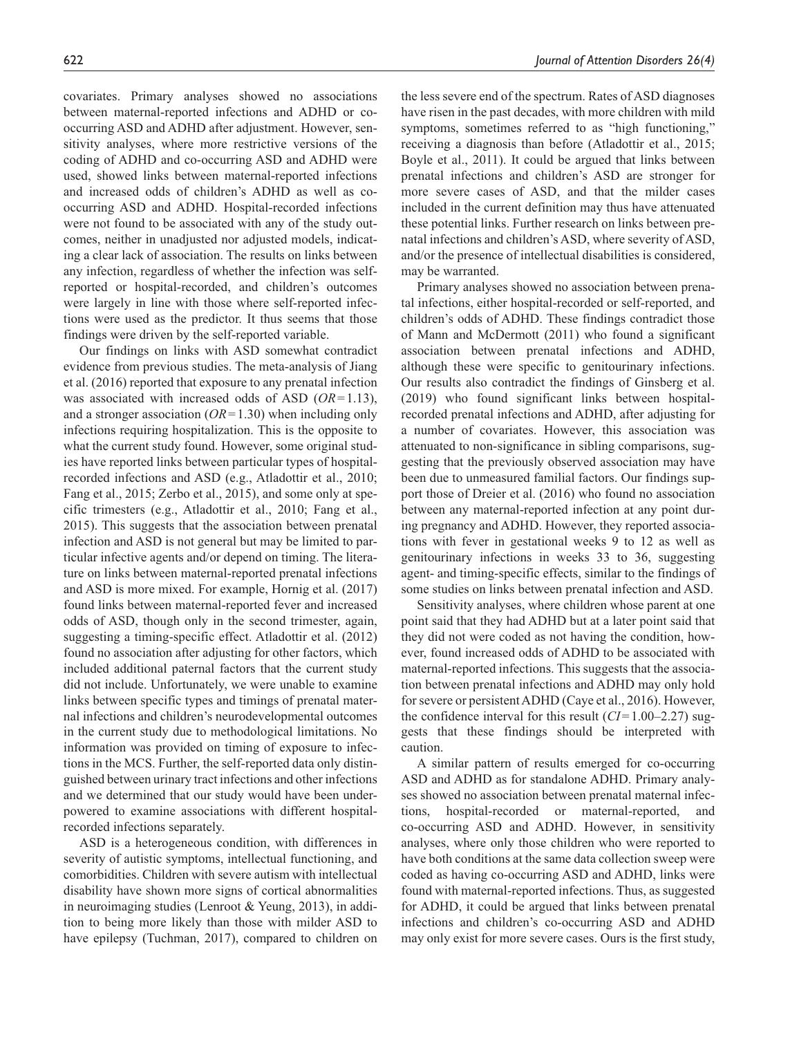covariates. Primary analyses showed no associations between maternal-reported infections and ADHD or cooccurring ASD and ADHD after adjustment. However, sensitivity analyses, where more restrictive versions of the coding of ADHD and co-occurring ASD and ADHD were used, showed links between maternal-reported infections and increased odds of children's ADHD as well as cooccurring ASD and ADHD. Hospital-recorded infections were not found to be associated with any of the study outcomes, neither in unadjusted nor adjusted models, indicating a clear lack of association. The results on links between any infection, regardless of whether the infection was selfreported or hospital-recorded, and children's outcomes were largely in line with those where self-reported infections were used as the predictor. It thus seems that those findings were driven by the self-reported variable.

Our findings on links with ASD somewhat contradict evidence from previous studies. The meta-analysis of Jiang et al. (2016) reported that exposure to any prenatal infection was associated with increased odds of ASD (*OR*=1.13), and a stronger association (*OR*=1.30) when including only infections requiring hospitalization. This is the opposite to what the current study found. However, some original studies have reported links between particular types of hospitalrecorded infections and ASD (e.g., Atladottir et al., 2010; Fang et al., 2015; Zerbo et al., 2015), and some only at specific trimesters (e.g., Atladottir et al., 2010; Fang et al., 2015). This suggests that the association between prenatal infection and ASD is not general but may be limited to particular infective agents and/or depend on timing. The literature on links between maternal-reported prenatal infections and ASD is more mixed. For example, Hornig et al. (2017) found links between maternal-reported fever and increased odds of ASD, though only in the second trimester, again, suggesting a timing-specific effect. Atladottir et al. (2012) found no association after adjusting for other factors, which included additional paternal factors that the current study did not include. Unfortunately, we were unable to examine links between specific types and timings of prenatal maternal infections and children's neurodevelopmental outcomes in the current study due to methodological limitations. No information was provided on timing of exposure to infections in the MCS. Further, the self-reported data only distinguished between urinary tract infections and other infections and we determined that our study would have been underpowered to examine associations with different hospitalrecorded infections separately.

ASD is a heterogeneous condition, with differences in severity of autistic symptoms, intellectual functioning, and comorbidities. Children with severe autism with intellectual disability have shown more signs of cortical abnormalities in neuroimaging studies (Lenroot & Yeung, 2013), in addition to being more likely than those with milder ASD to have epilepsy (Tuchman, 2017), compared to children on the less severe end of the spectrum. Rates of ASD diagnoses have risen in the past decades, with more children with mild symptoms, sometimes referred to as "high functioning," receiving a diagnosis than before (Atladottir et al., 2015; Boyle et al., 2011). It could be argued that links between prenatal infections and children's ASD are stronger for more severe cases of ASD, and that the milder cases included in the current definition may thus have attenuated these potential links. Further research on links between prenatal infections and children's ASD, where severity of ASD, and/or the presence of intellectual disabilities is considered, may be warranted.

Primary analyses showed no association between prenatal infections, either hospital-recorded or self-reported, and children's odds of ADHD. These findings contradict those of Mann and McDermott (2011) who found a significant association between prenatal infections and ADHD, although these were specific to genitourinary infections. Our results also contradict the findings of Ginsberg et al. (2019) who found significant links between hospitalrecorded prenatal infections and ADHD, after adjusting for a number of covariates. However, this association was attenuated to non-significance in sibling comparisons, suggesting that the previously observed association may have been due to unmeasured familial factors. Our findings support those of Dreier et al. (2016) who found no association between any maternal-reported infection at any point during pregnancy and ADHD. However, they reported associations with fever in gestational weeks 9 to 12 as well as genitourinary infections in weeks 33 to 36, suggesting agent- and timing-specific effects, similar to the findings of some studies on links between prenatal infection and ASD.

Sensitivity analyses, where children whose parent at one point said that they had ADHD but at a later point said that they did not were coded as not having the condition, however, found increased odds of ADHD to be associated with maternal-reported infections. This suggests that the association between prenatal infections and ADHD may only hold for severe or persistent ADHD (Caye et al., 2016). However, the confidence interval for this result (*CI*=1.00–2.27) suggests that these findings should be interpreted with caution.

A similar pattern of results emerged for co-occurring ASD and ADHD as for standalone ADHD. Primary analyses showed no association between prenatal maternal infections, hospital-recorded or maternal-reported, and co-occurring ASD and ADHD. However, in sensitivity analyses, where only those children who were reported to have both conditions at the same data collection sweep were coded as having co-occurring ASD and ADHD, links were found with maternal-reported infections. Thus, as suggested for ADHD, it could be argued that links between prenatal infections and children's co-occurring ASD and ADHD may only exist for more severe cases. Ours is the first study,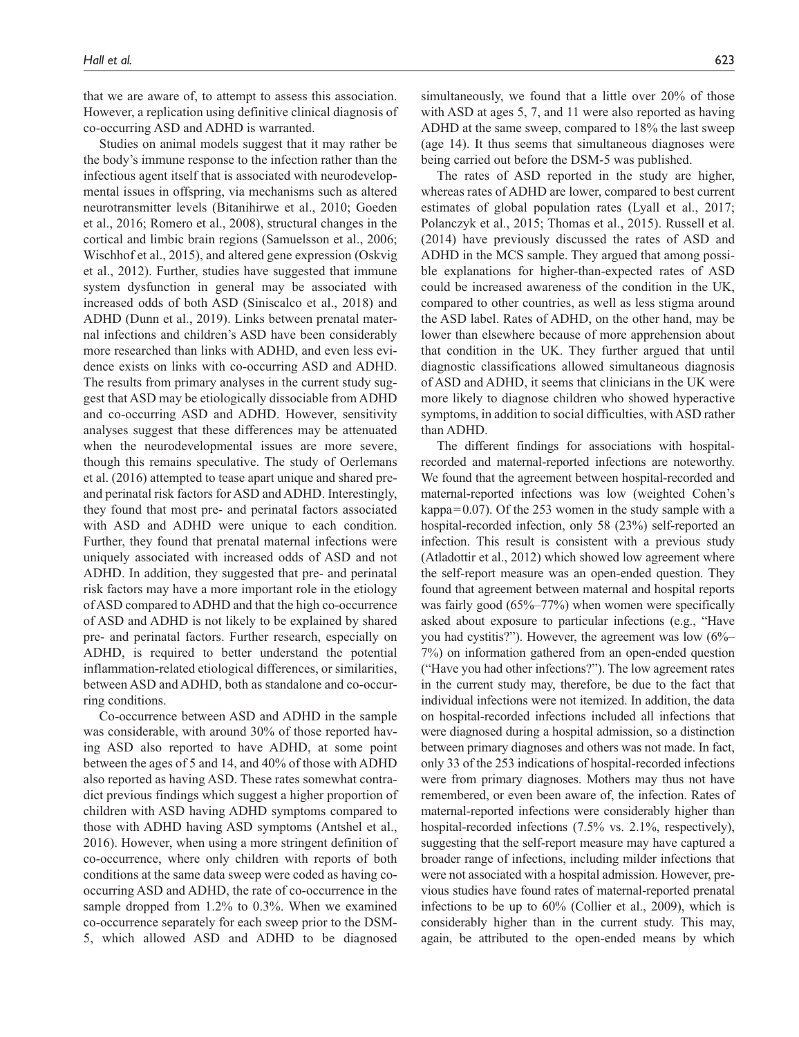that we are aware of, to attempt to assess this association. However, a replication using definitive clinical diagnosis of co-occurring ASD and ADHD is warranted.

Studies on animal models suggest that it may rather be the body's immune response to the infection rather than the infectious agent itself that is associated with neurodevelopmental issues in offspring, via mechanisms such as altered neurotransmitter levels (Bitanihirwe et al., 2010; Goeden et al., 2016; Romero et al., 2008), structural changes in the cortical and limbic brain regions (Samuelsson et al., 2006; Wischhof et al., 2015), and altered gene expression (Oskvig et al., 2012). Further, studies have suggested that immune system dysfunction in general may be associated with increased odds of both ASD (Siniscalco et al., 2018) and ADHD (Dunn et al., 2019). Links between prenatal maternal infections and children's ASD have been considerably more researched than links with ADHD, and even less evidence exists on links with co-occurring ASD and ADHD. The results from primary analyses in the current study suggest that ASD may be etiologically dissociable from ADHD and co-occurring ASD and ADHD. However, sensitivity analyses suggest that these differences may be attenuated when the neurodevelopmental issues are more severe, though this remains speculative. The study of Oerlemans et al. (2016) attempted to tease apart unique and shared preand perinatal risk factors for ASD and ADHD. Interestingly, they found that most pre- and perinatal factors associated with ASD and ADHD were unique to each condition. Further, they found that prenatal maternal infections were uniquely associated with increased odds of ASD and not ADHD. In addition, they suggested that pre- and perinatal risk factors may have a more important role in the etiology of ASD compared to ADHD and that the high co-occurrence of ASD and ADHD is not likely to be explained by shared pre- and perinatal factors. Further research, especially on ADHD, is required to better understand the potential inflammation-related etiological differences, or similarities, between ASD and ADHD, both as standalone and co-occurring conditions.

Co-occurrence between ASD and ADHD in the sample was considerable, with around 30% of those reported having ASD also reported to have ADHD, at some point between the ages of 5 and 14, and 40% of those with ADHD also reported as having ASD. These rates somewhat contradict previous findings which suggest a higher proportion of children with ASD having ADHD symptoms compared to those with ADHD having ASD symptoms (Antshel et al., 2016). However, when using a more stringent definition of co-occurrence, where only children with reports of both conditions at the same data sweep were coded as having cooccurring ASD and ADHD, the rate of co-occurrence in the sample dropped from 1.2% to 0.3%. When we examined co-occurrence separately for each sweep prior to the DSM-5, which allowed ASD and ADHD to be diagnosed

simultaneously, we found that a little over 20% of those with ASD at ages 5, 7, and 11 were also reported as having ADHD at the same sweep, compared to 18% the last sweep (age 14). It thus seems that simultaneous diagnoses were being carried out before the DSM-5 was published.

The rates of ASD reported in the study are higher, whereas rates of ADHD are lower, compared to best current estimates of global population rates (Lyall et al., 2017; Polanczyk et al., 2015; Thomas et al., 2015). Russell et al. (2014) have previously discussed the rates of ASD and ADHD in the MCS sample. They argued that among possible explanations for higher-than-expected rates of ASD could be increased awareness of the condition in the UK, compared to other countries, as well as less stigma around the ASD label. Rates of ADHD, on the other hand, may be lower than elsewhere because of more apprehension about that condition in the UK. They further argued that until diagnostic classifications allowed simultaneous diagnosis of ASD and ADHD, it seems that clinicians in the UK were more likely to diagnose children who showed hyperactive symptoms, in addition to social difficulties, with ASD rather than ADHD.

The different findings for associations with hospitalrecorded and maternal-reported infections are noteworthy. We found that the agreement between hospital-recorded and maternal-reported infections was low (weighted Cohen's kappa=0.07). Of the 253 women in the study sample with a hospital-recorded infection, only 58 (23%) self-reported an infection. This result is consistent with a previous study (Atladottir et al., 2012) which showed low agreement where the self-report measure was an open-ended question. They found that agreement between maternal and hospital reports was fairly good (65%–77%) when women were specifically asked about exposure to particular infections (e.g., "Have you had cystitis?"). However, the agreement was low (6%– 7%) on information gathered from an open-ended question ("Have you had other infections?"). The low agreement rates in the current study may, therefore, be due to the fact that individual infections were not itemized. In addition, the data on hospital-recorded infections included all infections that were diagnosed during a hospital admission, so a distinction between primary diagnoses and others was not made. In fact, only 33 of the 253 indications of hospital-recorded infections were from primary diagnoses. Mothers may thus not have remembered, or even been aware of, the infection. Rates of maternal-reported infections were considerably higher than hospital-recorded infections (7.5% vs. 2.1%, respectively), suggesting that the self-report measure may have captured a broader range of infections, including milder infections that were not associated with a hospital admission. However, previous studies have found rates of maternal-reported prenatal infections to be up to 60% (Collier et al., 2009), which is considerably higher than in the current study. This may, again, be attributed to the open-ended means by which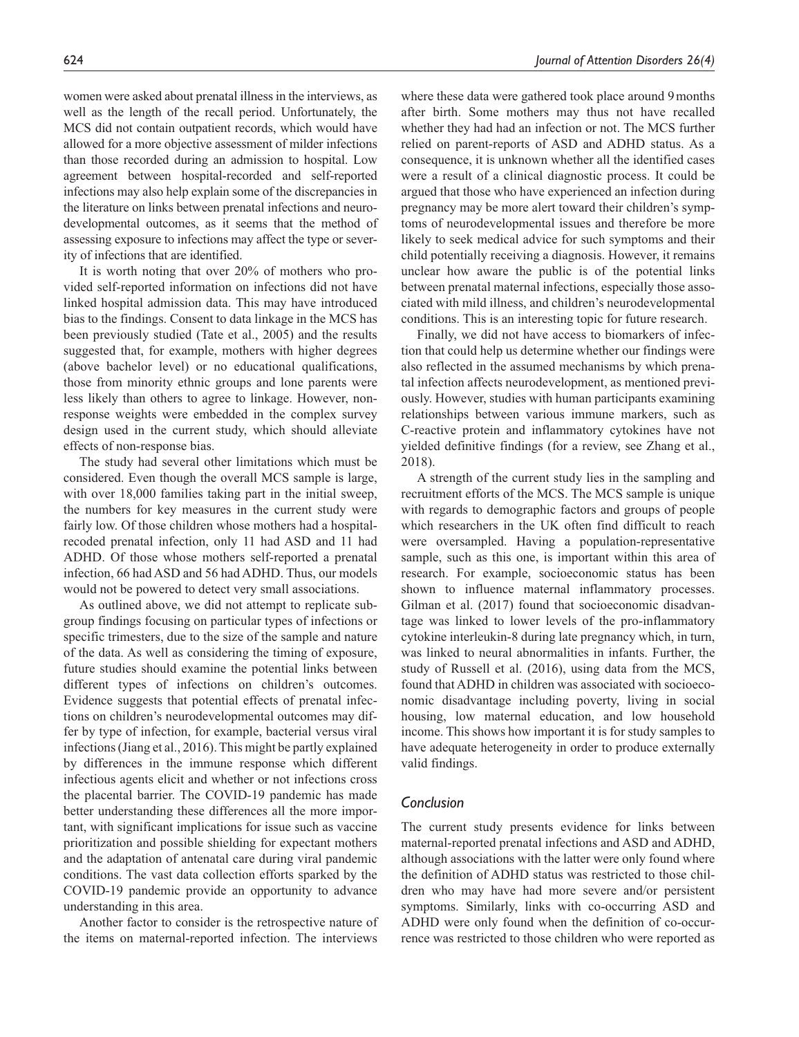women were asked about prenatal illness in the interviews, as well as the length of the recall period. Unfortunately, the MCS did not contain outpatient records, which would have allowed for a more objective assessment of milder infections than those recorded during an admission to hospital. Low agreement between hospital-recorded and self-reported infections may also help explain some of the discrepancies in the literature on links between prenatal infections and neurodevelopmental outcomes, as it seems that the method of assessing exposure to infections may affect the type or severity of infections that are identified.

It is worth noting that over 20% of mothers who provided self-reported information on infections did not have linked hospital admission data. This may have introduced bias to the findings. Consent to data linkage in the MCS has been previously studied (Tate et al., 2005) and the results suggested that, for example, mothers with higher degrees (above bachelor level) or no educational qualifications, those from minority ethnic groups and lone parents were less likely than others to agree to linkage. However, nonresponse weights were embedded in the complex survey design used in the current study, which should alleviate effects of non-response bias.

The study had several other limitations which must be considered. Even though the overall MCS sample is large, with over 18,000 families taking part in the initial sweep, the numbers for key measures in the current study were fairly low. Of those children whose mothers had a hospitalrecoded prenatal infection, only 11 had ASD and 11 had ADHD. Of those whose mothers self-reported a prenatal infection, 66 had ASD and 56 had ADHD. Thus, our models would not be powered to detect very small associations.

As outlined above, we did not attempt to replicate subgroup findings focusing on particular types of infections or specific trimesters, due to the size of the sample and nature of the data. As well as considering the timing of exposure, future studies should examine the potential links between different types of infections on children's outcomes. Evidence suggests that potential effects of prenatal infections on children's neurodevelopmental outcomes may differ by type of infection, for example, bacterial versus viral infections (Jiang et al., 2016). This might be partly explained by differences in the immune response which different infectious agents elicit and whether or not infections cross the placental barrier. The COVID-19 pandemic has made better understanding these differences all the more important, with significant implications for issue such as vaccine prioritization and possible shielding for expectant mothers and the adaptation of antenatal care during viral pandemic conditions. The vast data collection efforts sparked by the COVID-19 pandemic provide an opportunity to advance understanding in this area.

Another factor to consider is the retrospective nature of the items on maternal-reported infection. The interviews

where these data were gathered took place around 9months after birth. Some mothers may thus not have recalled whether they had had an infection or not. The MCS further relied on parent-reports of ASD and ADHD status. As a consequence, it is unknown whether all the identified cases were a result of a clinical diagnostic process. It could be argued that those who have experienced an infection during pregnancy may be more alert toward their children's symptoms of neurodevelopmental issues and therefore be more likely to seek medical advice for such symptoms and their child potentially receiving a diagnosis. However, it remains unclear how aware the public is of the potential links between prenatal maternal infections, especially those associated with mild illness, and children's neurodevelopmental conditions. This is an interesting topic for future research.

Finally, we did not have access to biomarkers of infection that could help us determine whether our findings were also reflected in the assumed mechanisms by which prenatal infection affects neurodevelopment, as mentioned previously. However, studies with human participants examining relationships between various immune markers, such as C-reactive protein and inflammatory cytokines have not yielded definitive findings (for a review, see Zhang et al., 2018).

A strength of the current study lies in the sampling and recruitment efforts of the MCS. The MCS sample is unique with regards to demographic factors and groups of people which researchers in the UK often find difficult to reach were oversampled. Having a population-representative sample, such as this one, is important within this area of research. For example, socioeconomic status has been shown to influence maternal inflammatory processes. Gilman et al. (2017) found that socioeconomic disadvantage was linked to lower levels of the pro-inflammatory cytokine interleukin-8 during late pregnancy which, in turn, was linked to neural abnormalities in infants. Further, the study of Russell et al. (2016), using data from the MCS, found that ADHD in children was associated with socioeconomic disadvantage including poverty, living in social housing, low maternal education, and low household income. This shows how important it is for study samples to have adequate heterogeneity in order to produce externally valid findings.

#### *Conclusion*

The current study presents evidence for links between maternal-reported prenatal infections and ASD and ADHD, although associations with the latter were only found where the definition of ADHD status was restricted to those children who may have had more severe and/or persistent symptoms. Similarly, links with co-occurring ASD and ADHD were only found when the definition of co-occurrence was restricted to those children who were reported as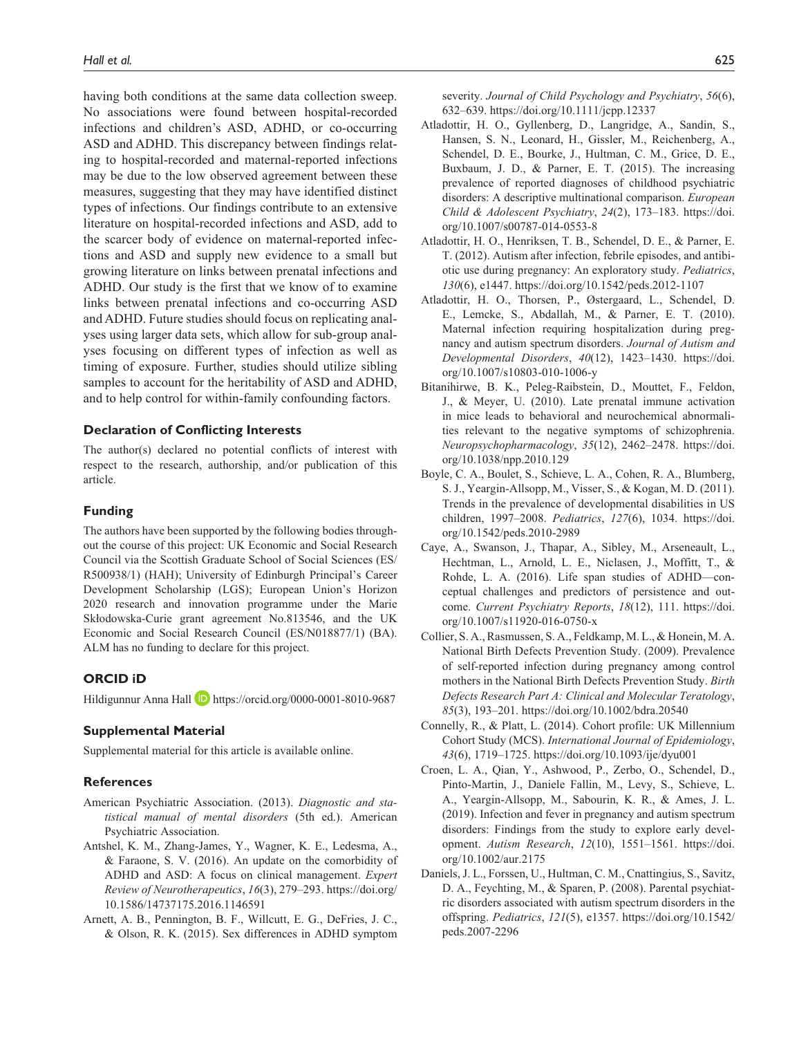having both conditions at the same data collection sweep. No associations were found between hospital-recorded infections and children's ASD, ADHD, or co-occurring ASD and ADHD. This discrepancy between findings relating to hospital-recorded and maternal-reported infections may be due to the low observed agreement between these measures, suggesting that they may have identified distinct types of infections. Our findings contribute to an extensive literature on hospital-recorded infections and ASD, add to the scarcer body of evidence on maternal-reported infections and ASD and supply new evidence to a small but growing literature on links between prenatal infections and ADHD. Our study is the first that we know of to examine links between prenatal infections and co-occurring ASD and ADHD. Future studies should focus on replicating analyses using larger data sets, which allow for sub-group analyses focusing on different types of infection as well as timing of exposure. Further, studies should utilize sibling samples to account for the heritability of ASD and ADHD, and to help control for within-family confounding factors.

#### **Declaration of Conflicting Interests**

The author(s) declared no potential conflicts of interest with respect to the research, authorship, and/or publication of this article.

#### **Funding**

The authors have been supported by the following bodies throughout the course of this project: UK Economic and Social Research Council via the Scottish Graduate School of Social Sciences (ES/ R500938/1) (HAH); University of Edinburgh Principal's Career Development Scholarship (LGS); European Union's Horizon 2020 research and innovation programme under the Marie Skłodowska-Curie grant agreement No.813546, and the UK Economic and Social Research Council (ES/N018877/1) (BA). ALM has no funding to declare for this project.

## **ORCID iD**

Hildigunnur Anna Hall **D** <https://orcid.org/0000-0001-8010-9687>

#### **Supplemental Material**

Supplemental material for this article is available online.

#### **References**

- American Psychiatric Association. (2013). *Diagnostic and statistical manual of mental disorders* (5th ed.). American Psychiatric Association.
- Antshel, K. M., Zhang-James, Y., Wagner, K. E., Ledesma, A., & Faraone, S. V. (2016). An update on the comorbidity of ADHD and ASD: A focus on clinical management. *Expert Review of Neurotherapeutics*, *16*(3), 279–293. [https://doi.org/](https://doi.org/10.1586/14737175.2016.1146591) [10.1586/14737175.2016.1146591](https://doi.org/10.1586/14737175.2016.1146591)
- Arnett, A. B., Pennington, B. F., Willcutt, E. G., DeFries, J. C., & Olson, R. K. (2015). Sex differences in ADHD symptom
- Atladottir, H. O., Gyllenberg, D., Langridge, A., Sandin, S., Hansen, S. N., Leonard, H., Gissler, M., Reichenberg, A., Schendel, D. E., Bourke, J., Hultman, C. M., Grice, D. E., Buxbaum, J. D., & Parner, E. T. (2015). The increasing prevalence of reported diagnoses of childhood psychiatric disorders: A descriptive multinational comparison. *European Child & Adolescent Psychiatry*, *24*(2), 173–183. [https://doi.](https://doi.org/10.1007/s00787-014-0553-8) [org/10.1007/s00787-014-0553-8](https://doi.org/10.1007/s00787-014-0553-8)
- Atladottir, H. O., Henriksen, T. B., Schendel, D. E., & Parner, E. T. (2012). Autism after infection, febrile episodes, and antibiotic use during pregnancy: An exploratory study. *Pediatrics*, *130*(6), e1447. <https://doi.org/10.1542/peds.2012-1107>
- Atladottir, H. O., Thorsen, P., Østergaard, L., Schendel, D. E., Lemcke, S., Abdallah, M., & Parner, E. T. (2010). Maternal infection requiring hospitalization during pregnancy and autism spectrum disorders. *Journal of Autism and Developmental Disorders*, *40*(12), 1423–1430. [https://doi.](https://doi.org/10.1007/s10803-010-1006-y) [org/10.1007/s10803-010-1006-y](https://doi.org/10.1007/s10803-010-1006-y)
- Bitanihirwe, B. K., Peleg-Raibstein, D., Mouttet, F., Feldon, J., & Meyer, U. (2010). Late prenatal immune activation in mice leads to behavioral and neurochemical abnormalities relevant to the negative symptoms of schizophrenia. *Neuropsychopharmacology*, *35*(12), 2462–2478. [https://doi.](https://doi.org/10.1038/npp.2010.129) [org/10.1038/npp.2010.129](https://doi.org/10.1038/npp.2010.129)
- Boyle, C. A., Boulet, S., Schieve, L. A., Cohen, R. A., Blumberg, S. J., Yeargin-Allsopp, M., Visser, S., & Kogan, M. D. (2011). Trends in the prevalence of developmental disabilities in US children, 1997–2008. *Pediatrics*, *127*(6), 1034. [https://doi.](https://doi.org/10.1542/peds.2010-2989) [org/10.1542/peds.2010-2989](https://doi.org/10.1542/peds.2010-2989)
- Caye, A., Swanson, J., Thapar, A., Sibley, M., Arseneault, L., Hechtman, L., Arnold, L. E., Niclasen, J., Moffitt, T., & Rohde, L. A. (2016). Life span studies of ADHD—conceptual challenges and predictors of persistence and outcome. *Current Psychiatry Reports*, *18*(12), 111. [https://doi.](https://doi.org/10.1007/s11920-016-0750-x) [org/10.1007/s11920-016-0750-x](https://doi.org/10.1007/s11920-016-0750-x)
- Collier, S. A., Rasmussen, S. A., Feldkamp, M. L., & Honein, M. A. National Birth Defects Prevention Study. (2009). Prevalence of self-reported infection during pregnancy among control mothers in the National Birth Defects Prevention Study. *Birth Defects Research Part A: Clinical and Molecular Teratology*, *85*(3), 193–201.<https://doi.org/10.1002/bdra.20540>
- Connelly, R., & Platt, L. (2014). Cohort profile: UK Millennium Cohort Study (MCS). *International Journal of Epidemiology*, *43*(6), 1719–1725.<https://doi.org/10.1093/ije/dyu001>
- Croen, L. A., Qian, Y., Ashwood, P., Zerbo, O., Schendel, D., Pinto-Martin, J., Daniele Fallin, M., Levy, S., Schieve, L. A., Yeargin-Allsopp, M., Sabourin, K. R., & Ames, J. L. (2019). Infection and fever in pregnancy and autism spectrum disorders: Findings from the study to explore early development. *Autism Research*, *12*(10), 1551–1561. [https://doi.](https://doi.org/10.1002/aur.2175) [org/10.1002/aur.2175](https://doi.org/10.1002/aur.2175)
- Daniels, J. L., Forssen, U., Hultman, C. M., Cnattingius, S., Savitz, D. A., Feychting, M., & Sparen, P. (2008). Parental psychiatric disorders associated with autism spectrum disorders in the offspring. *Pediatrics*, *121*(5), e1357. [https://doi.org/10.1542/](https://doi.org/10.1542/peds.2007-2296) [peds.2007-2296](https://doi.org/10.1542/peds.2007-2296)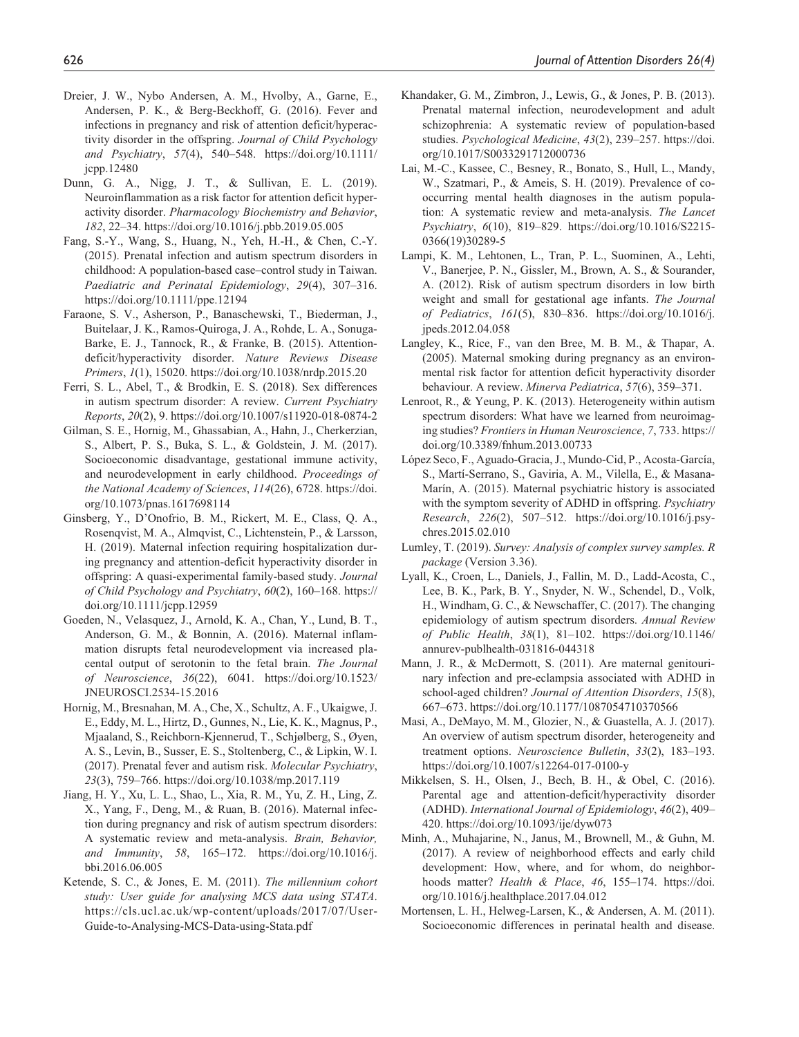- Dreier, J. W., Nybo Andersen, A. M., Hvolby, A., Garne, E., Andersen, P. K., & Berg-Beckhoff, G. (2016). Fever and infections in pregnancy and risk of attention deficit/hyperactivity disorder in the offspring. *Journal of Child Psychology and Psychiatry*, *57*(4), 540–548. [https://doi.org/10.1111/](https://doi.org/10.1111/jcpp.12480) [jcpp.12480](https://doi.org/10.1111/jcpp.12480)
- Dunn, G. A., Nigg, J. T., & Sullivan, E. L. (2019). Neuroinflammation as a risk factor for attention deficit hyperactivity disorder. *Pharmacology Biochemistry and Behavior*, *182*, 22–34.<https://doi.org/10.1016/j.pbb.2019.05.005>
- Fang, S.-Y., Wang, S., Huang, N., Yeh, H.-H., & Chen, C.-Y. (2015). Prenatal infection and autism spectrum disorders in childhood: A population-based case–control study in Taiwan. *Paediatric and Perinatal Epidemiology*, *29*(4), 307–316. <https://doi.org/10.1111/ppe.12194>
- Faraone, S. V., Asherson, P., Banaschewski, T., Biederman, J., Buitelaar, J. K., Ramos-Quiroga, J. A., Rohde, L. A., Sonuga-Barke, E. J., Tannock, R., & Franke, B. (2015). Attentiondeficit/hyperactivity disorder. *Nature Reviews Disease Primers*, *1*(1), 15020. <https://doi.org/10.1038/nrdp.2015.20>
- Ferri, S. L., Abel, T., & Brodkin, E. S. (2018). Sex differences in autism spectrum disorder: A review. *Current Psychiatry Reports*, *20*(2), 9.<https://doi.org/10.1007/s11920-018-0874-2>
- Gilman, S. E., Hornig, M., Ghassabian, A., Hahn, J., Cherkerzian, S., Albert, P. S., Buka, S. L., & Goldstein, J. M. (2017). Socioeconomic disadvantage, gestational immune activity, and neurodevelopment in early childhood. *Proceedings of the National Academy of Sciences*, *114*(26), 6728. [https://doi.](https://doi.org/10.1073/pnas.1617698114) [org/10.1073/pnas.1617698114](https://doi.org/10.1073/pnas.1617698114)
- Ginsberg, Y., D'Onofrio, B. M., Rickert, M. E., Class, Q. A., Rosenqvist, M. A., Almqvist, C., Lichtenstein, P., & Larsson, H. (2019). Maternal infection requiring hospitalization during pregnancy and attention-deficit hyperactivity disorder in offspring: A quasi-experimental family-based study. *Journal of Child Psychology and Psychiatry*, *60*(2), 160–168. [https://](https://doi.org/10.1111/jcpp.12959) [doi.org/10.1111/jcpp.12959](https://doi.org/10.1111/jcpp.12959)
- Goeden, N., Velasquez, J., Arnold, K. A., Chan, Y., Lund, B. T., Anderson, G. M., & Bonnin, A. (2016). Maternal inflammation disrupts fetal neurodevelopment via increased placental output of serotonin to the fetal brain. *The Journal of Neuroscience*, *36*(22), 6041. [https://doi.org/10.1523/](https://doi.org/10.1523/JNEUROSCI.2534-15.2016) [JNEUROSCI.2534-15.2016](https://doi.org/10.1523/JNEUROSCI.2534-15.2016)
- Hornig, M., Bresnahan, M. A., Che, X., Schultz, A. F., Ukaigwe, J. E., Eddy, M. L., Hirtz, D., Gunnes, N., Lie, K. K., Magnus, P., Mjaaland, S., Reichborn-Kjennerud, T., Schjølberg, S., Øyen, A. S., Levin, B., Susser, E. S., Stoltenberg, C., & Lipkin, W. I. (2017). Prenatal fever and autism risk. *Molecular Psychiatry*, *23*(3), 759–766.<https://doi.org/10.1038/mp.2017.119>
- Jiang, H. Y., Xu, L. L., Shao, L., Xia, R. M., Yu, Z. H., Ling, Z. X., Yang, F., Deng, M., & Ruan, B. (2016). Maternal infection during pregnancy and risk of autism spectrum disorders: A systematic review and meta-analysis. *Brain, Behavior, and Immunity*, *58*, 165–172. [https://doi.org/10.1016/j.](https://doi.org/10.1016/j.bbi.2016.06.005) [bbi.2016.06.005](https://doi.org/10.1016/j.bbi.2016.06.005)
- Ketende, S. C., & Jones, E. M. (2011). *The millennium cohort study: User guide for analysing MCS data using STATA*. [https://cls.ucl.ac.uk/wp-content/uploads/2017/07/User-](https://cls.ucl.ac.uk/wp-content/uploads/2017/07/User-Guide-to-Analysing-MCS-Data-using-Stata.pdf)[Guide-to-Analysing-MCS-Data-using-Stata.pdf](https://cls.ucl.ac.uk/wp-content/uploads/2017/07/User-Guide-to-Analysing-MCS-Data-using-Stata.pdf)
- Khandaker, G. M., Zimbron, J., Lewis, G., & Jones, P. B. (2013). Prenatal maternal infection, neurodevelopment and adult schizophrenia: A systematic review of population-based studies. *Psychological Medicine*, *43*(2), 239–257. [https://doi.](https://doi.org/10.1017/S0033291712000736) [org/10.1017/S0033291712000736](https://doi.org/10.1017/S0033291712000736)
- Lai, M.-C., Kassee, C., Besney, R., Bonato, S., Hull, L., Mandy, W., Szatmari, P., & Ameis, S. H. (2019). Prevalence of cooccurring mental health diagnoses in the autism population: A systematic review and meta-analysis. *The Lancet Psychiatry*, *6*(10), 819–829. [https://doi.org/10.1016/S2215-](https://doi.org/10.1016/S2215-0366(19)30289-5) [0366\(19\)30289-5](https://doi.org/10.1016/S2215-0366(19)30289-5)
- Lampi, K. M., Lehtonen, L., Tran, P. L., Suominen, A., Lehti, V., Banerjee, P. N., Gissler, M., Brown, A. S., & Sourander, A. (2012). Risk of autism spectrum disorders in low birth weight and small for gestational age infants. *The Journal of Pediatrics*, *161*(5), 830–836. [https://doi.org/10.1016/j.](https://doi.org/10.1016/j.jpeds.2012.04.058) [jpeds.2012.04.058](https://doi.org/10.1016/j.jpeds.2012.04.058)
- Langley, K., Rice, F., van den Bree, M. B. M., & Thapar, A. (2005). Maternal smoking during pregnancy as an environmental risk factor for attention deficit hyperactivity disorder behaviour. A review. *Minerva Pediatrica*, *57*(6), 359–371.
- Lenroot, R., & Yeung, P. K. (2013). Heterogeneity within autism spectrum disorders: What have we learned from neuroimaging studies? *Frontiers in Human Neuroscience*, *7*, 733. [https://](https://doi.org/10.3389/fnhum.2013.00733) [doi.org/10.3389/fnhum.2013.00733](https://doi.org/10.3389/fnhum.2013.00733)
- López Seco, F., Aguado-Gracia, J., Mundo-Cid, P., Acosta-García, S., Martí-Serrano, S., Gaviria, A. M., Vilella, E., & Masana-Marín, A. (2015). Maternal psychiatric history is associated with the symptom severity of ADHD in offspring. *Psychiatry Research*, *226*(2), 507–512. [https://doi.org/10.1016/j.psy](https://doi.org/10.1016/j.psychres.2015.02.010)[chres.2015.02.010](https://doi.org/10.1016/j.psychres.2015.02.010)
- Lumley, T. (2019). *Survey: Analysis of complex survey samples. R package* (Version 3.36).
- Lyall, K., Croen, L., Daniels, J., Fallin, M. D., Ladd-Acosta, C., Lee, B. K., Park, B. Y., Snyder, N. W., Schendel, D., Volk, H., Windham, G. C., & Newschaffer, C. (2017). The changing epidemiology of autism spectrum disorders. *Annual Review of Public Health*, *38*(1), 81–102. [https://doi.org/10.1146/](https://doi.org/10.1146/annurev-publhealth-031816-044318) [annurev-publhealth-031816-044318](https://doi.org/10.1146/annurev-publhealth-031816-044318)
- Mann, J. R., & McDermott, S. (2011). Are maternal genitourinary infection and pre-eclampsia associated with ADHD in school-aged children? *Journal of Attention Disorders*, *15*(8), 667–673.<https://doi.org/10.1177/1087054710370566>
- Masi, A., DeMayo, M. M., Glozier, N., & Guastella, A. J. (2017). An overview of autism spectrum disorder, heterogeneity and treatment options. *Neuroscience Bulletin*, *33*(2), 183–193. <https://doi.org/10.1007/s12264-017-0100-y>
- Mikkelsen, S. H., Olsen, J., Bech, B. H., & Obel, C. (2016). Parental age and attention-deficit/hyperactivity disorder (ADHD). *International Journal of Epidemiology*, *46*(2), 409– 420.<https://doi.org/10.1093/ije/dyw073>
- Minh, A., Muhajarine, N., Janus, M., Brownell, M., & Guhn, M. (2017). A review of neighborhood effects and early child development: How, where, and for whom, do neighborhoods matter? *Health & Place*, *46*, 155–174. [https://doi.](https://doi.org/10.1016/j.healthplace.2017.04.012) [org/10.1016/j.healthplace.2017.04.012](https://doi.org/10.1016/j.healthplace.2017.04.012)
- Mortensen, L. H., Helweg-Larsen, K., & Andersen, A. M. (2011). Socioeconomic differences in perinatal health and disease.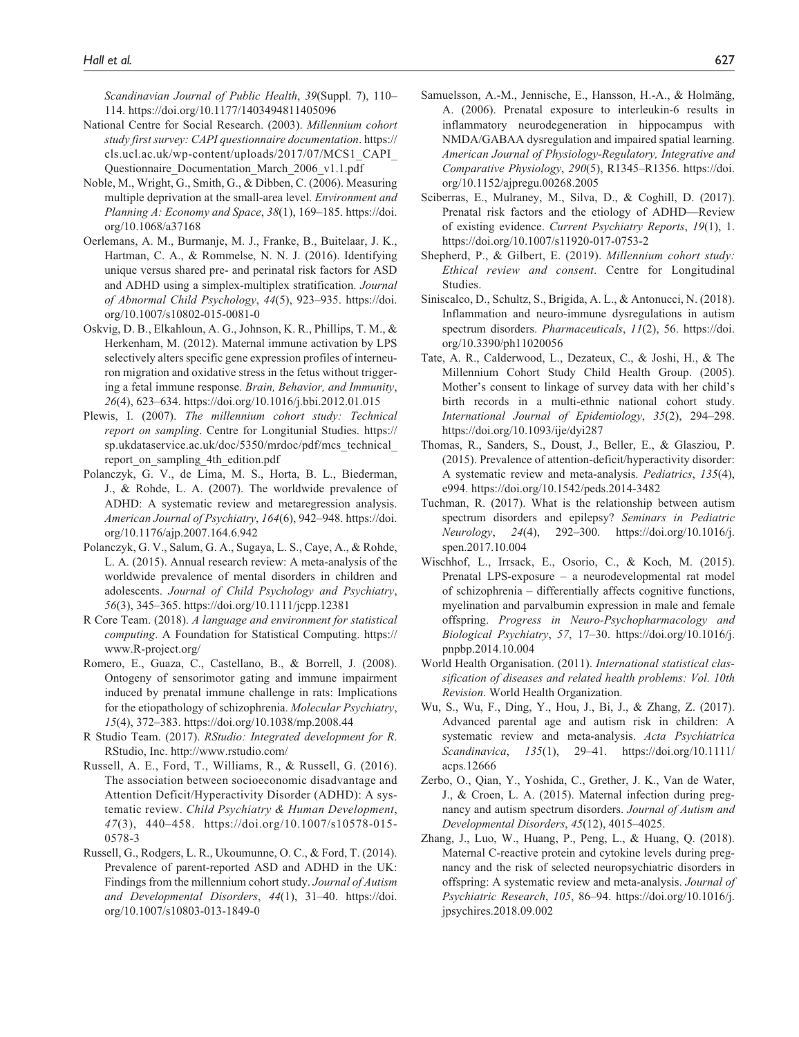*Scandinavian Journal of Public Health*, *39*(Suppl. 7), 110– 114. <https://doi.org/10.1177/1403494811405096>

- National Centre for Social Research. (2003). *Millennium cohort study first survey: CAPI questionnaire documentation*. [https://](https://cls.ucl.ac.uk/wp-content/uploads/2017/07/MCS1_CAPI_Questionnaire_Documentation_March_2006_v1.1.pdf) [cls.ucl.ac.uk/wp-content/uploads/2017/07/MCS1\\_CAPI\\_](https://cls.ucl.ac.uk/wp-content/uploads/2017/07/MCS1_CAPI_Questionnaire_Documentation_March_2006_v1.1.pdf) [Questionnaire\\_Documentation\\_March\\_2006\\_v1.1.pdf](https://cls.ucl.ac.uk/wp-content/uploads/2017/07/MCS1_CAPI_Questionnaire_Documentation_March_2006_v1.1.pdf)
- Noble, M., Wright, G., Smith, G., & Dibben, C. (2006). Measuring multiple deprivation at the small-area level. *Environment and Planning A: Economy and Space*, *38*(1), 169–185. [https://doi.](https://doi.org/10.1068/a37168) [org/10.1068/a37168](https://doi.org/10.1068/a37168)
- Oerlemans, A. M., Burmanje, M. J., Franke, B., Buitelaar, J. K., Hartman, C. A., & Rommelse, N. N. J. (2016). Identifying unique versus shared pre- and perinatal risk factors for ASD and ADHD using a simplex-multiplex stratification. *Journal of Abnormal Child Psychology*, *44*(5), 923–935. [https://doi.](https://doi.org/10.1007/s10802-015-0081-0) [org/10.1007/s10802-015-0081-0](https://doi.org/10.1007/s10802-015-0081-0)
- Oskvig, D. B., Elkahloun, A. G., Johnson, K. R., Phillips, T. M., & Herkenham, M. (2012). Maternal immune activation by LPS selectively alters specific gene expression profiles of interneuron migration and oxidative stress in the fetus without triggering a fetal immune response. *Brain, Behavior, and Immunity*, *26*(4), 623–634. <https://doi.org/10.1016/j.bbi.2012.01.015>
- Plewis, I. (2007). *The millennium cohort study: Technical report on sampling*. Centre for Longitunial Studies. [https://](https://sp.ukdataservice.ac.uk/doc/5350/mrdoc/pdf/mcs_technical_report_on_sampling_4th_edition.pdf) [sp.ukdataservice.ac.uk/doc/5350/mrdoc/pdf/mcs\\_technical\\_](https://sp.ukdataservice.ac.uk/doc/5350/mrdoc/pdf/mcs_technical_report_on_sampling_4th_edition.pdf) report on sampling 4th edition.pdf
- Polanczyk, G. V., de Lima, M. S., Horta, B. L., Biederman, J., & Rohde, L. A. (2007). The worldwide prevalence of ADHD: A systematic review and metaregression analysis. *American Journal of Psychiatry*, *164*(6), 942–948. [https://doi.](https://doi.org/10.1176/ajp.2007.164.6.942) [org/10.1176/ajp.2007.164.6.942](https://doi.org/10.1176/ajp.2007.164.6.942)
- Polanczyk, G. V., Salum, G. A., Sugaya, L. S., Caye, A., & Rohde, L. A. (2015). Annual research review: A meta-analysis of the worldwide prevalence of mental disorders in children and adolescents. *Journal of Child Psychology and Psychiatry*, *56*(3), 345–365. <https://doi.org/10.1111/jcpp.12381>
- R Core Team. (2018). *A language and environment for statistical computing*. A Foundation for Statistical Computing. [https://](https://www.R-project.org/) [www.R-project.org/](https://www.R-project.org/)
- Romero, E., Guaza, C., Castellano, B., & Borrell, J. (2008). Ontogeny of sensorimotor gating and immune impairment induced by prenatal immune challenge in rats: Implications for the etiopathology of schizophrenia. *Molecular Psychiatry*, *15*(4), 372–383. <https://doi.org/10.1038/mp.2008.44>
- R Studio Team. (2017). *RStudio: Integrated development for R*. RStudio, Inc. <http://www.rstudio.com/>
- Russell, A. E., Ford, T., Williams, R., & Russell, G. (2016). The association between socioeconomic disadvantage and Attention Deficit/Hyperactivity Disorder (ADHD): A systematic review. *Child Psychiatry & Human Development*, *47*(3), 440–458. [https://doi.org/10.1007/s10578-015-](https://doi.org/10.1007/s10578-015-0578-3) [0578-3](https://doi.org/10.1007/s10578-015-0578-3)
- Russell, G., Rodgers, L. R., Ukoumunne, O. C., & Ford, T. (2014). Prevalence of parent-reported ASD and ADHD in the UK: Findings from the millennium cohort study. *Journal of Autism and Developmental Disorders*, *44*(1), 31–40. [https://doi.](https://doi.org/10.1007/s10803-013-1849-0) [org/10.1007/s10803-013-1849-0](https://doi.org/10.1007/s10803-013-1849-0)
- Samuelsson, A.-M., Jennische, E., Hansson, H.-A., & Holmäng, A. (2006). Prenatal exposure to interleukin-6 results in inflammatory neurodegeneration in hippocampus with NMDA/GABAA dysregulation and impaired spatial learning. *American Journal of Physiology-Regulatory, Integrative and Comparative Physiology*, *290*(5), R1345–R1356. [https://doi.](https://doi.org/10.1152/ajpregu.00268.2005) [org/10.1152/ajpregu.00268.2005](https://doi.org/10.1152/ajpregu.00268.2005)
- Sciberras, E., Mulraney, M., Silva, D., & Coghill, D. (2017). Prenatal risk factors and the etiology of ADHD—Review of existing evidence. *Current Psychiatry Reports*, *19*(1), 1. <https://doi.org/10.1007/s11920-017-0753-2>
- Shepherd, P., & Gilbert, E. (2019). *Millennium cohort study: Ethical review and consent*. Centre for Longitudinal Studies.
- Siniscalco, D., Schultz, S., Brigida, A. L., & Antonucci, N. (2018). Inflammation and neuro-immune dysregulations in autism spectrum disorders. *Pharmaceuticals*, *11*(2), 56. [https://doi.](https://doi.org/10.3390/ph11020056) [org/10.3390/ph11020056](https://doi.org/10.3390/ph11020056)
- Tate, A. R., Calderwood, L., Dezateux, C., & Joshi, H., & The Millennium Cohort Study Child Health Group. (2005). Mother's consent to linkage of survey data with her child's birth records in a multi-ethnic national cohort study. *International Journal of Epidemiology*, *35*(2), 294–298. <https://doi.org/10.1093/ije/dyi287>
- Thomas, R., Sanders, S., Doust, J., Beller, E., & Glasziou, P. (2015). Prevalence of attention-deficit/hyperactivity disorder: A systematic review and meta-analysis. *Pediatrics*, *135*(4), e994. <https://doi.org/10.1542/peds.2014-3482>
- Tuchman, R. (2017). What is the relationship between autism spectrum disorders and epilepsy? *Seminars in Pediatric Neurology*, *24*(4), 292–300. [https://doi.org/10.1016/j.](https://doi.org/10.1016/j.spen.2017.10.004) [spen.2017.10.004](https://doi.org/10.1016/j.spen.2017.10.004)
- Wischhof, L., Irrsack, E., Osorio, C., & Koch, M. (2015). Prenatal LPS-exposure – a neurodevelopmental rat model of schizophrenia – differentially affects cognitive functions, myelination and parvalbumin expression in male and female offspring. *Progress in Neuro-Psychopharmacology and Biological Psychiatry*, *57*, 17–30. [https://doi.org/10.1016/j.](https://doi.org/10.1016/j.pnpbp.2014.10.004) [pnpbp.2014.10.004](https://doi.org/10.1016/j.pnpbp.2014.10.004)
- World Health Organisation. (2011). *International statistical classification of diseases and related health problems: Vol. 10th Revision*. World Health Organization.
- Wu, S., Wu, F., Ding, Y., Hou, J., Bi, J., & Zhang, Z. (2017). Advanced parental age and autism risk in children: A systematic review and meta-analysis. *Acta Psychiatrica Scandinavica*, *135*(1), 29–41. [https://doi.org/10.1111/](https://doi.org/10.1111/acps.12666) [acps.12666](https://doi.org/10.1111/acps.12666)
- Zerbo, O., Qian, Y., Yoshida, C., Grether, J. K., Van de Water, J., & Croen, L. A. (2015). Maternal infection during pregnancy and autism spectrum disorders. *Journal of Autism and Developmental Disorders*, *45*(12), 4015–4025.
- Zhang, J., Luo, W., Huang, P., Peng, L., & Huang, Q. (2018). Maternal C-reactive protein and cytokine levels during pregnancy and the risk of selected neuropsychiatric disorders in offspring: A systematic review and meta-analysis. *Journal of Psychiatric Research*, *105*, 86–94. [https://doi.org/10.1016/j.](https://doi.org/10.1016/j.jpsychires.2018.09.002) [jpsychires.2018.09.002](https://doi.org/10.1016/j.jpsychires.2018.09.002)